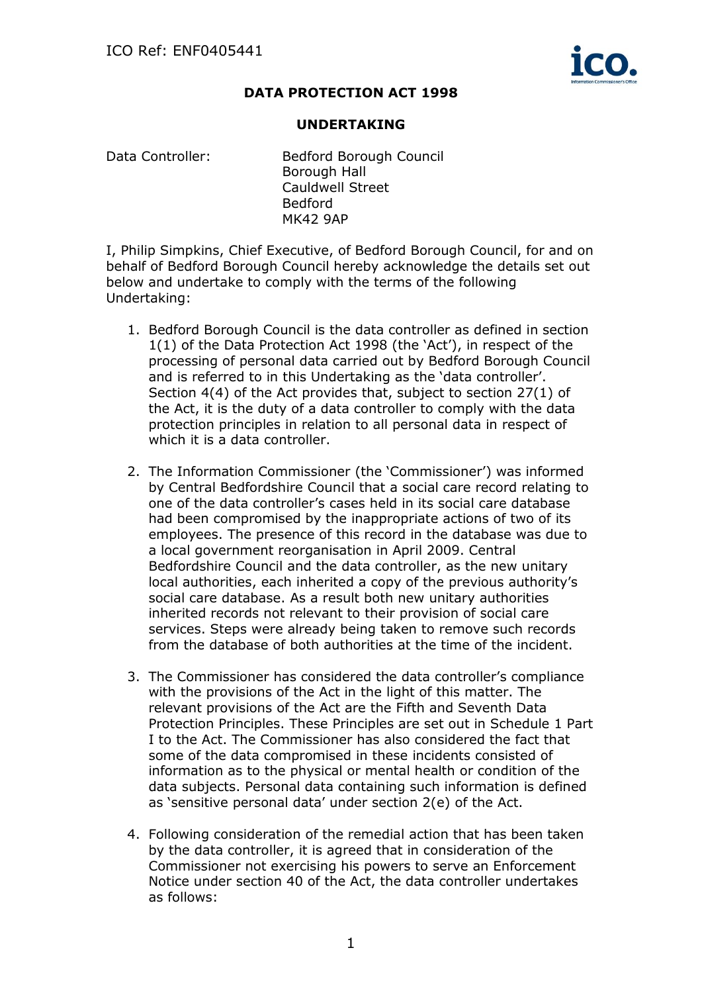## **DATA PROTECTION ACT 1998**

## **UNDERTAKING**

Data Controller: Bedford Borough Council Borough Hall Cauldwell Street Bedford MK42 9AP

I, Philip Simpkins, Chief Executive, of Bedford Borough Council, for and on behalf of Bedford Borough Council hereby acknowledge the details set out below and undertake to comply with the terms of the following Undertaking:

- 1. Bedford Borough Council is the data controller as defined in section 1(1) of the Data Protection Act 1998 (the 'Act'), in respect of the processing of personal data carried out by Bedford Borough Council and is referred to in this Undertaking as the 'data controller'. Section 4(4) of the Act provides that, subject to section 27(1) of the Act, it is the duty of a data controller to comply with the data protection principles in relation to all personal data in respect of which it is a data controller.
- 2. The Information Commissioner (the 'Commissioner') was informed by Central Bedfordshire Council that a social care record relating to one of the data controller's cases held in its social care database had been compromised by the inappropriate actions of two of its employees. The presence of this record in the database was due to a local government reorganisation in April 2009. Central Bedfordshire Council and the data controller, as the new unitary local authorities, each inherited a copy of the previous authority's social care database. As a result both new unitary authorities inherited records not relevant to their provision of social care services. Steps were already being taken to remove such records from the database of both authorities at the time of the incident.
- 3. The Commissioner has considered the data controller's compliance with the provisions of the Act in the light of this matter. The relevant provisions of the Act are the Fifth and Seventh Data Protection Principles. These Principles are set out in Schedule 1 Part I to the Act. The Commissioner has also considered the fact that some of the data compromised in these incidents consisted of information as to the physical or mental health or condition of the data subjects. Personal data containing such information is defined as 'sensitive personal data' under section 2(e) of the Act.
- 4. Following consideration of the remedial action that has been taken by the data controller, it is agreed that in consideration of the Commissioner not exercising his powers to serve an Enforcement Notice under section 40 of the Act, the data controller undertakes as follows: